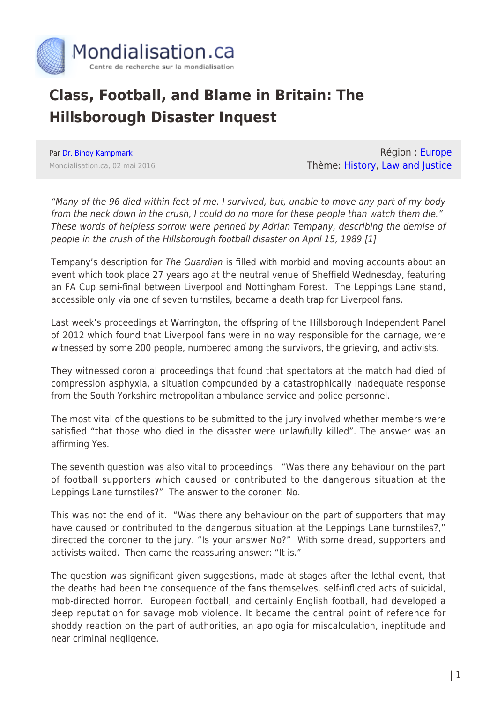

## **Class, Football, and Blame in Britain: The Hillsborough Disaster Inquest**

Par [Dr. Binoy Kampmark](https://www.mondialisation.ca/author/binoy-kampmark) Mondialisation.ca, 02 mai 2016

Région : [Europe](https://www.mondialisation.ca/region/europe) Thème: [History,](https://www.mondialisation.ca/theme/culture-society-history) [Law and Justice](https://www.mondialisation.ca/theme/law-and-justice)

"Many of the 96 died within feet of me. I survived, but, unable to move any part of my body from the neck down in the crush, I could do no more for these people than watch them die." These words of helpless sorrow were penned by Adrian Tempany, describing the demise of people in the crush of the Hillsborough football disaster on April 15, 1989.[1]

Tempany's description for The Guardian is filled with morbid and moving accounts about an event which took place 27 years ago at the neutral venue of Sheffield Wednesday, featuring an FA Cup semi-final between Liverpool and Nottingham Forest. The Leppings Lane stand, accessible only via one of seven turnstiles, became a death trap for Liverpool fans.

Last week's proceedings at Warrington, the offspring of the Hillsborough Independent Panel of 2012 which found that Liverpool fans were in no way responsible for the carnage, were witnessed by some 200 people, numbered among the survivors, the grieving, and activists.

They witnessed coronial proceedings that found that spectators at the match had died of compression asphyxia, a situation compounded by a catastrophically inadequate response from the South Yorkshire metropolitan ambulance service and police personnel.

The most vital of the questions to be submitted to the jury involved whether members were satisfied "that those who died in the disaster were unlawfully killed". The answer was an affirming Yes.

The seventh question was also vital to proceedings. "Was there any behaviour on the part of football supporters which caused or contributed to the dangerous situation at the Leppings Lane turnstiles?" The answer to the coroner: No.

This was not the end of it. "Was there any behaviour on the part of supporters that may have caused or contributed to the dangerous situation at the Leppings Lane turnstiles?," directed the coroner to the jury. "Is your answer No?" With some dread, supporters and activists waited. Then came the reassuring answer: "It is."

The question was significant given suggestions, made at stages after the lethal event, that the deaths had been the consequence of the fans themselves, self-inflicted acts of suicidal, mob-directed horror. European football, and certainly English football, had developed a deep reputation for savage mob violence. It became the central point of reference for shoddy reaction on the part of authorities, an apologia for miscalculation, ineptitude and near criminal negligence.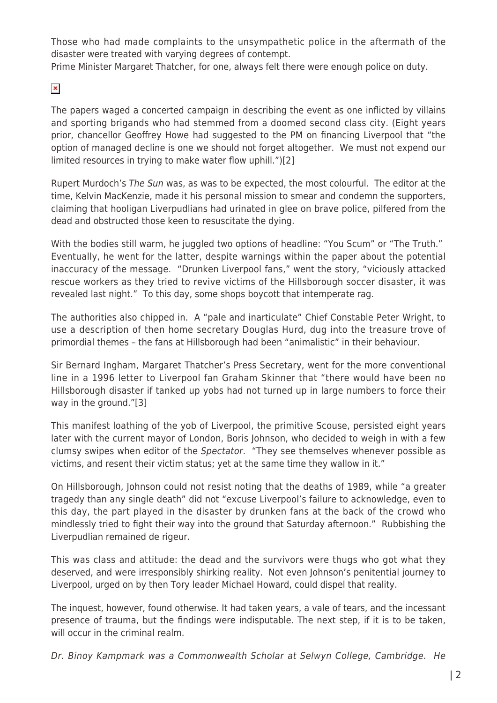Those who had made complaints to the unsympathetic police in the aftermath of the disaster were treated with varying degrees of contempt.

Prime Minister Margaret Thatcher, for one, always felt there were enough police on duty.

 $\pmb{\times}$ 

The papers waged a concerted campaign in describing the event as one inflicted by villains and sporting brigands who had stemmed from a doomed second class city. (Eight years prior, chancellor Geoffrey Howe had suggested to the PM on financing Liverpool that "the option of managed decline is one we should not forget altogether. We must not expend our limited resources in trying to make water flow uphill.")[2]

Rupert Murdoch's The Sun was, as was to be expected, the most colourful. The editor at the time, Kelvin MacKenzie, made it his personal mission to smear and condemn the supporters, claiming that hooligan Liverpudlians had urinated in glee on brave police, pilfered from the dead and obstructed those keen to resuscitate the dying.

With the bodies still warm, he juggled two options of headline: "You Scum" or "The Truth." Eventually, he went for the latter, despite warnings within the paper about the potential inaccuracy of the message. "Drunken Liverpool fans," went the story, "viciously attacked rescue workers as they tried to revive victims of the Hillsborough soccer disaster, it was revealed last night." To this day, some shops boycott that intemperate rag.

The authorities also chipped in. A "pale and inarticulate" Chief Constable Peter Wright, to use a description of then home secretary Douglas Hurd, dug into the treasure trove of primordial themes – the fans at Hillsborough had been "animalistic" in their behaviour.

Sir Bernard Ingham, Margaret Thatcher's Press Secretary, went for the more conventional line in a 1996 letter to Liverpool fan Graham Skinner that "there would have been no Hillsborough disaster if tanked up yobs had not turned up in large numbers to force their way in the ground."[3]

This manifest loathing of the yob of Liverpool, the primitive Scouse, persisted eight years later with the current mayor of London, Boris Johnson, who decided to weigh in with a few clumsy swipes when editor of the Spectator. "They see themselves whenever possible as victims, and resent their victim status; yet at the same time they wallow in it."

On Hillsborough, Johnson could not resist noting that the deaths of 1989, while "a greater tragedy than any single death" did not "excuse Liverpool's failure to acknowledge, even to this day, the part played in the disaster by drunken fans at the back of the crowd who mindlessly tried to fight their way into the ground that Saturday afternoon." Rubbishing the Liverpudlian remained de rigeur.

This was class and attitude: the dead and the survivors were thugs who got what they deserved, and were irresponsibly shirking reality. Not even Johnson's penitential journey to Liverpool, urged on by then Tory leader Michael Howard, could dispel that reality.

The inquest, however, found otherwise. It had taken years, a vale of tears, and the incessant presence of trauma, but the findings were indisputable. The next step, if it is to be taken, will occur in the criminal realm.

Dr. Binoy Kampmark was a Commonwealth Scholar at Selwyn College, Cambridge. He